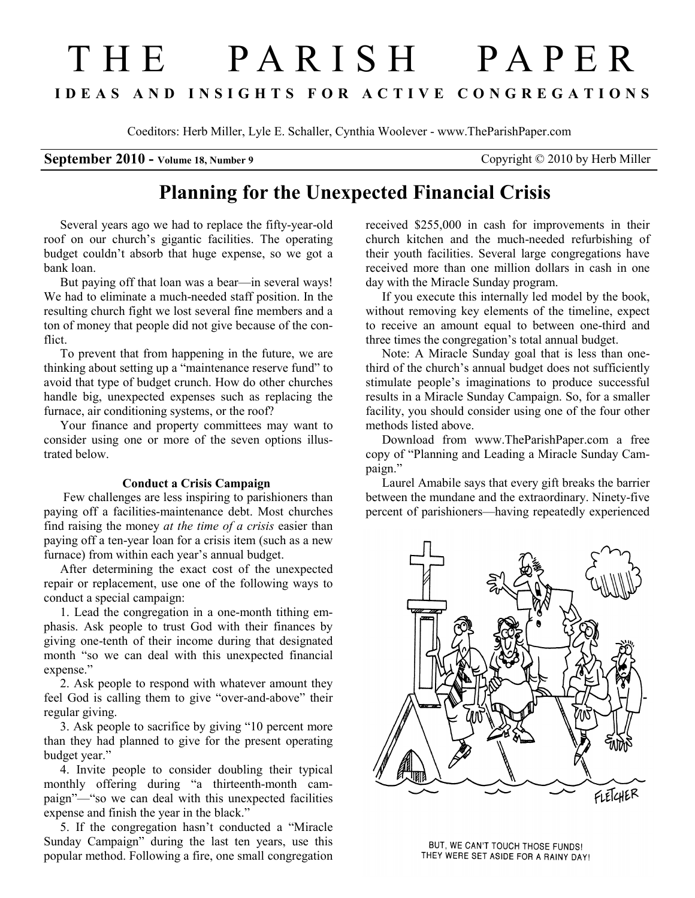# T H E P A R I S H P A P E R I D E A S A N D I N S I G H T S F O R A C T I V E C O N G R E G A T I O N S

Coeditors: Herb Miller, Lyle E. Schaller, Cynthia Woolever - www.TheParishPaper.com

### September 2010 - Volume 18, Number 9 Copyright © 2010 by Herb Miller

## Planning for the Unexpected Financial Crisis

Several years ago we had to replace the fifty-year-old roof on our church's gigantic facilities. The operating budget couldn't absorb that huge expense, so we got a bank loan.

But paying off that loan was a bear—in several ways! We had to eliminate a much-needed staff position. In the resulting church fight we lost several fine members and a ton of money that people did not give because of the conflict.

To prevent that from happening in the future, we are thinking about setting up a "maintenance reserve fund" to avoid that type of budget crunch. How do other churches handle big, unexpected expenses such as replacing the furnace, air conditioning systems, or the roof?

Your finance and property committees may want to consider using one or more of the seven options illustrated below.

#### Conduct a Crisis Campaign

 Few challenges are less inspiring to parishioners than paying off a facilities-maintenance debt. Most churches find raising the money at the time of a crisis easier than paying off a ten-year loan for a crisis item (such as a new furnace) from within each year's annual budget.

After determining the exact cost of the unexpected repair or replacement, use one of the following ways to conduct a special campaign:

1. Lead the congregation in a one-month tithing emphasis. Ask people to trust God with their finances by giving one-tenth of their income during that designated month "so we can deal with this unexpected financial expense."

2. Ask people to respond with whatever amount they feel God is calling them to give "over-and-above" their regular giving.

3. Ask people to sacrifice by giving "10 percent more than they had planned to give for the present operating budget year."

4. Invite people to consider doubling their typical monthly offering during "a thirteenth-month campaign"—"so we can deal with this unexpected facilities expense and finish the year in the black."

5. If the congregation hasn't conducted a "Miracle Sunday Campaign" during the last ten years, use this popular method. Following a fire, one small congregation

received \$255,000 in cash for improvements in their church kitchen and the much-needed refurbishing of their youth facilities. Several large congregations have received more than one million dollars in cash in one day with the Miracle Sunday program.

If you execute this internally led model by the book, without removing key elements of the timeline, expect to receive an amount equal to between one-third and three times the congregation's total annual budget.

Note: A Miracle Sunday goal that is less than onethird of the church's annual budget does not sufficiently stimulate people's imaginations to produce successful results in a Miracle Sunday Campaign. So, for a smaller facility, you should consider using one of the four other methods listed above.

Download from www.TheParishPaper.com a free copy of "Planning and Leading a Miracle Sunday Campaign."

Laurel Amabile says that every gift breaks the barrier between the mundane and the extraordinary. Ninety-five percent of parishioners—having repeatedly experienced



BUT, WE CAN'T TOUCH THOSE FUNDS! THEY WERE SET ASIDE FOR A RAINY DAY!